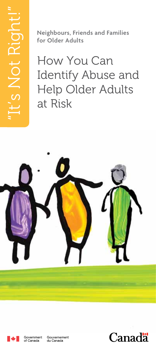**Neighbours, Friends and Families for Older Adults**

How You Can Identify Abuse and Help Older Adults at Risk





Gouvernement<br>du Canada

Canada<sup>1</sup>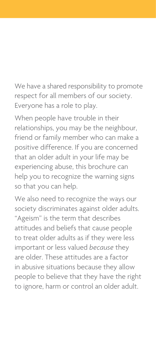We have a shared responsibility to promote respect for all members of our society. Everyone has a role to play.

When people have trouble in their relationships, you may be the neighbour, friend or family member who can make a positive difference. If you are concerned that an older adult in your life may be experiencing abuse, this brochure can help you to recognize the warning signs so that you can help.

We also need to recognize the ways our society discriminates against older adults. "Ageism" is the term that describes attitudes and beliefs that cause people to treat older adults as if they were less important or less valued *because* they are older. These attitudes are a factor in abusive situations because they allow people to believe that they have the right to ignore, harm or control an older adult.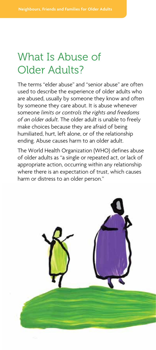## What Is Abuse of Older Adults?

The terms "elder abuse" and "senior abuse" are often used to describe the experience of older adults who are abused, usually by someone they know and often by someone they care about. It is abuse whenever someone *limits or controls the rights and freedoms of an older adult.* The older adult is unable to freely make choices because they are afraid of being humiliated, hurt, left alone, or of the relationship ending. Abuse causes harm to an older adult.

The World Health Organization (WHO) defines abuse of older adults as "a single or repeated act, or lack of appropriate action, occurring within any relationship where there is an expectation of trust, which causes harm or distress to an older person."

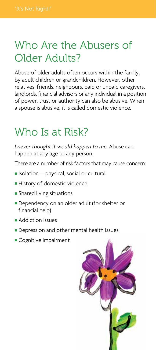## Who Are the Abusers of Older Adults?

Abuse of older adults often occurs within the family, by adult children or grandchildren. However, other relatives, friends, neighbours, paid or unpaid caregivers, landlords, financial advisors or any individual in a position of power, trust or authority can also be abusive. When a spouse is abusive, it is called domestic violence.

# Who Is at Risk?

*I never thought it would happen to me.* Abuse can happen at any age to any person.

There are a number of risk factors that may cause concern:

- **n** Isolation—physical, social or cultural
- History of domestic violence
- **Shared living situations**
- **Dependency on an older adult (for shelter or** financial help)
- <sup>n</sup> Addiction issues
- **Depression and other mental health issues**
- Cognitive impairment

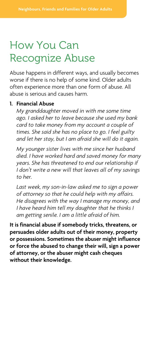## How You Can Recognize Abuse

Abuse happens in different ways, and usually becomes worse if there is no help of some kind. Older adults often experience more than one form of abuse. All abuse is serious and causes harm.

### **1. Financial Abuse**

 *My granddaughter moved in with me some time ago. I asked her to leave because she used my bank card to take money from my account a couple of times. She said she has no place to go. I feel guilty and let her stay, but I am afraid she will do it again.*

 *My younger sister lives with me since her husband died. I have worked hard and saved money for many years. She has threatened to end our relationship if I don't write a new will that leaves all of my savings to her.*

 *Last week, my son-in-law asked me to sign a power of attorney so that he could help with my affairs. He disagrees with the way I manage my money, and I have heard him tell my daughter that he thinks I am getting senile. I am a little afraid of him.*

**It is financial abuse if somebody tricks, threatens, or persuades older adults out of their money, property or possessions. Sometimes the abuser might influence or force the abused to change their will, sign a power of attorney, or the abuser might cash cheques without their knowledge.**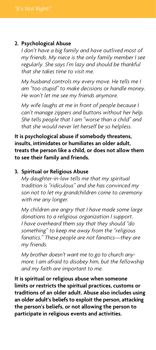### **2. Psychological Abuse**

 *I don't have a big family and have outlived most of my friends. My niece is the only family member I see regularly. She says I'm lazy and should be thankful that she takes time to visit me.*

 *My husband controls my every move. He tells me I am "too stupid" to make decisions or handle money. He won't let me see my friends anymore.*

 *My wife laughs at me in front of people because I can't manage zippers and buttons without her help. She tells people that I am "worse than a child" and that she would never let herself be so helpless.*

**It is psychological abuse if somebody threatens, insults, intimidates or humiliates an older adult, treats the person like a child, or does not allow them to see their family and friends.**

### **3. Spiritual or Religious Abuse**

 *My daughter-in-law tells me that my spiritual tradition is "ridiculous" and she has convinced my son not to let my grandchildren come to ceremony with me any longer.*

 *My children are angry that I have made some large donations to a religious organization I support. I have overheard them say that they should "do something" to keep me away from the "religious fanatics." These people are not fanatics*—*they are my friends.*

 *My brother doesn't want me to go to church anymore. I am afraid to disobey him, but the fellowship and my faith are important to me.*

**It is spiritual or religious abuse when someone limits or restricts the spiritual practices, customs or traditions of an older adult. Abuse also includes using an older adult's beliefs to exploit the person, attacking the person's beliefs, or not allowing the person to participate in religious events and activities.**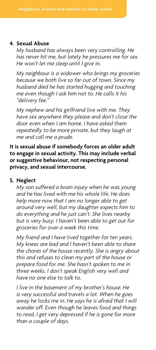#### **4. Sexual Abuse**

 *My husband has always been very controlling. He has never hit me, but lately he pressures me for sex. He won't let me sleep until I give in.*

 *My neighbour is a widower who brings my groceries because we both live so far out of town. Since my husband died he has started hugging and touching me even though I ask him not to. He calls it his "delivery fee."*

 *My nephew and his girlfriend live with me. They have sex anywhere they please and don't close the door even when I am home. I have asked them repeatedly to be more private, but they laugh at me and call me a prude.*

**It is sexual abuse if somebody forces an older adult to engage in sexual activity. This may include verbal or suggestive behaviour, not respecting personal privacy, and sexual intercourse.**

#### **5. Neglect**

 *My son suffered a brain injury when he was young and he has lived with me his whole life. He does help more now that I am no longer able to get around very well, but my daughter expects him to do everything and he just can't. She lives nearby but is very busy. I haven't been able to get out for groceries for over a week this time.*

 *My friend and I have lived together for ten years. My knees are bad and I haven't been able to share the chores of the house recently. She is angry about this and refuses to clean my part of the house or prepare food for me. She hasn't spoken to me in three weeks. I don't speak English very well and have no one else to talk to.*

 *I live in the basement of my brother's house. He is very successful and travels a lot. When he goes away he locks me in. He says he is afraid that I will wander off. Even though he leaves food and things to read, I get very depressed if he is gone for more than a couple of days.*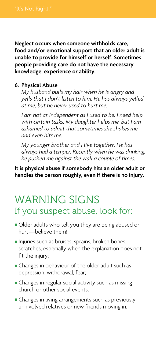**Neglect occurs when someone withholds care, food and/or emotional support that an older adult is unable to provide for himself or herself. Sometimes people providing care do not have the necessary knowledge, experience or ability.**

### **6. Physical Abuse**

 *My husband pulls my hair when he is angry and yells that I don't listen to him. He has always yelled at me, but he never used to hurt me.*

 *I am not as independent as I used to be. I need help with certain tasks. My daughter helps me, but I am ashamed to admit that sometimes she shakes me and even hits me.*

 *My younger brother and I live together. He has always had a temper. Recently when he was drinking, he pushed me against the wall a couple of times.*

**It is physical abuse if somebody hits an older adult or handles the person roughly, even if there is no injury.**

## WARNING SIGNS If you suspect abuse, look for:

- Older adults who tell you they are being abused or hurt—believe them!
- n Injuries such as bruises, sprains, broken bones, scratches, especially when the explanation does not fit the injury;
- **Example 1** Changes in behaviour of the older adult such as depression, withdrawal, fear;
- **n** Changes in regular social activity such as missing church or other social events;
- **n** Changes in living arrangements such as previously uninvolved relatives or new friends moving in;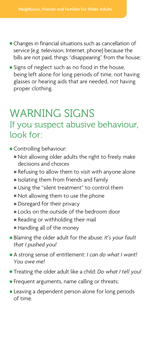- **n** Changes in financial situations such as cancellation of service (e.g. television, Internet, phone) because the bills are not paid, things "disappearing" from the house;
- **Signs of neglect such as no food in the house,** being left alone for long periods of time, not having glasses or hearing aids that are needed, not having proper clothing.

## WARNING SIGNS If you suspect abusive behaviour, look for:

- **Controlling behaviour:** 
	- Not allowing older adults the right to freely make decisions and choices
	- $\blacksquare$  Refusing to allow them to visit with anyone alone
	- $\blacksquare$  Isolating them from friends and family
	- <sup>n</sup> Using the "silent treatment" to control them
	- Not allowing them to use the phone
	- Disregard for their privacy
	- $\blacksquare$  Locks on the outside of the bedroom door
	- Reading or withholding their mail
	- Handling all of the money
- <sup>n</sup> Blaming the older adult for the abuse: *It's your fault that I pushed you!*
- <sup>n</sup> A strong sense of entitlement: *I can do what I want! You owe me!*
- <sup>n</sup> Treating the older adult like a child: *Do what I tell you!*
- **Frequent arguments, name calling or threats;**
- **Example 2** Leaving a dependent person alone for long periods of time.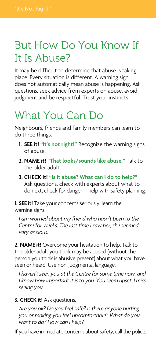# But How Do You Know If It Is Abuse?

It may be difficult to determine that abuse is taking place. Every situation is different. A warning sign does not automatically mean abuse is happening. Ask questions, seek advice from experts on abuse, avoid judgment and be respectful. Trust your instincts.

# What You Can Do

Neighbours, friends and family members can learn to do three things:

- **1. SEE it! "It's not right!"** Recognize the warning signs of abuse.
- **2. NAME it! "That looks/sounds like abuse."** Talk to the older adult.
- **3. CHECK it! "Is it abuse? What can I do to help?"** Ask questions, check with experts about what to do next, check for danger—help with safety planning.

**1. SEE it!** Take your concerns seriously, learn the warning signs.

 *I am worried about my friend who hasn't been to the Centre for weeks. The last time I saw her, she seemed very anxious.*

**2. NAME it!** Overcome your hesitation to help. Talk to the older adult you think may be abused (without the person you think is abusive present) about what you have seen or heard. Use non-judgmental language.

 *I haven't seen you at the Centre for some time now, and I know how important it is to you. You seem upset. I miss seeing you.*

### **3. CHECK it!** Ask questions.

 *Are you ok? Do you feel safe? Is there anyone hurting you or making you feel uncomfortable? What do you want to do? How can I help?*

If you have immediate concerns about safety, call the police.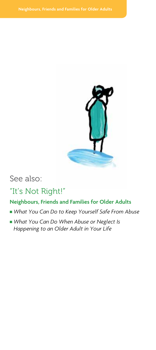

### See also:

## "It's Not Right!"

### **Neighbours, Friends and Families for Older Adults**

- What You Can Do to Keep Yourself Safe From Abuse
- What You Can Do When Abuse or Neglect Is *Happening to an Older Adult in Your Life*